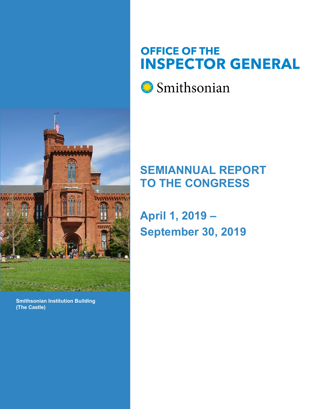

#### **Smithsonian Institution Building (The Castle)**

# **OFFICE OF THE INSPECTOR GENERAL**



# **SEMIANNUAL REPORT TO THE CONGRESS**

**April 1, 2019 – September 30, 2019**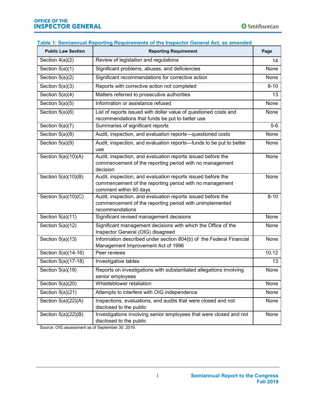#### **Table 1: Semiannual Reporting Requirements of the Inspector General Act, as amended**

| <b>Public Law Section</b> | <b>Reporting Requirement</b>                                                                                                                     | Page     |
|---------------------------|--------------------------------------------------------------------------------------------------------------------------------------------------|----------|
| Section $4(a)(2)$         | Review of legislation and regulations                                                                                                            | 14       |
| Section $5(a)(1)$         | Significant problems, abuses, and deficiencies                                                                                                   |          |
| Section $5(a)(2)$         | Significant recommendations for corrective action                                                                                                |          |
| Section $5(a)(3)$         | Reports with corrective action not completed                                                                                                     | $8 - 10$ |
| Section $5(a)(4)$         | Matters referred to prosecutive authorities                                                                                                      | 13       |
| Section $5(a)(5)$         | Information or assistance refused                                                                                                                | None     |
| Section $5(a)(6)$         | List of reports issued with dollar value of questioned costs and<br>recommendations that funds be put to better use                              | None     |
| Section 5(a)(7)           | Summaries of significant reports                                                                                                                 | $5-6$    |
| Section 5(a)(8)           | Audit, inspection, and evaluation reports-questioned costs                                                                                       | None     |
| Section 5(a)(9)           | Audit, inspection, and evaluation reports-funds to be put to better<br>use                                                                       | None     |
| Section $5(a)(10)(A)$     | Audit, inspection, and evaluation reports issued before the<br>commencement of the reporting period with no management<br>decision               | None     |
| Section 5(a)(10)(B)       | Audit, inspection, and evaluation reports issued before the<br>commencement of the reporting period with no management<br>comment within 60 days | None     |
| Section 5(a)(10)(C)       | Audit, inspection, and evaluation reports issued before the<br>commencement of the reporting period with unimplemented<br>recommendations        | $8 - 10$ |
| Section 5(a)(11)          | Significant revised management decisions                                                                                                         | None     |
| Section $5(a)(12)$        | Significant management decisions with which the Office of the<br>Inspector General (OIG) disagreed                                               | None     |
| Section $5(a)(13)$        | Information described under section 804(b) of the Federal Financial<br>Management Improvement Act of 1996                                        | None     |
| Section 5(a)(14-16)       | Peer reviews                                                                                                                                     | 10,12    |
| Section 5(a)(17-18)       | Investigative tables                                                                                                                             | 13       |
| Section $5(a)(19)$        | Reports on investigations with substantiated allegations involving<br>senior employees                                                           | None     |
| Section $5(a)(20)$        | Whistleblower retaliation                                                                                                                        | None     |
| Section $5(a)(21)$        | Attempts to interfere with OIG independence                                                                                                      | None     |
| Section $5(a)(22)(A)$     | Inspections, evaluations, and audits that were closed and not<br>disclosed to the public                                                         | None     |
| Section 5(a)(22)(B)       | Investigations involving senior employees that were closed and not<br>disclosed to the public                                                    | None     |

Source: OIG assessment as of September 30, 2019.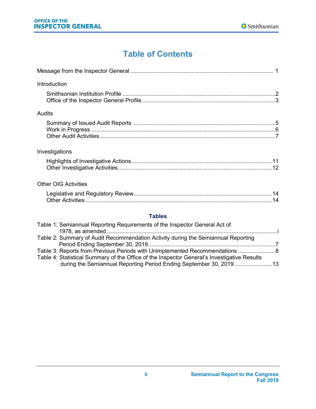# **Table of Contents**

<span id="page-2-0"></span>

| Introduction                                                                                                          |
|-----------------------------------------------------------------------------------------------------------------------|
|                                                                                                                       |
| Audits                                                                                                                |
|                                                                                                                       |
| Investigations                                                                                                        |
|                                                                                                                       |
| <b>Other OIG Activities</b>                                                                                           |
|                                                                                                                       |
| <b>Tables</b>                                                                                                         |
| Table 1: Semiannual Reporting Requirements of the Inspector General Act of<br>$1079$ as amonded $\overline{a}$<br>. i |

| Table 2: Summary of Audit Recommendation Activity during the Semiannual Reporting           |  |
|---------------------------------------------------------------------------------------------|--|
|                                                                                             |  |
| Table 3: Reports from Previous Periods with Unimplemented Recommendations 8                 |  |
| Table 4: Statistical Summary of the Office of the Inspector General's Investigative Results |  |
| during the Semiannual Reporting Period Ending September 30, 2019  13                        |  |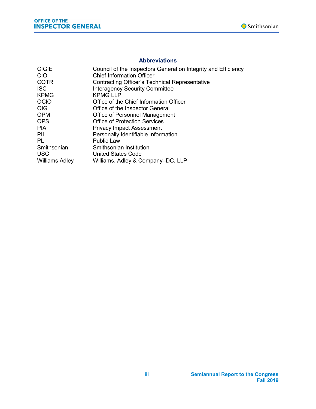

#### **Abbreviations**

| <b>CIGIE</b>          | Council of the Inspectors General on Integrity and Efficiency |
|-----------------------|---------------------------------------------------------------|
| <b>CIO</b>            | <b>Chief Information Officer</b>                              |
| <b>COTR</b>           | <b>Contracting Officer's Technical Representative</b>         |
| <b>ISC</b>            | <b>Interagency Security Committee</b>                         |
| <b>KPMG</b>           | <b>KPMG LLP</b>                                               |
| <b>OCIO</b>           | Office of the Chief Information Officer                       |
| <b>OIG</b>            | Office of the Inspector General                               |
| <b>OPM</b>            | <b>Office of Personnel Management</b>                         |
| <b>OPS</b>            | Office of Protection Services                                 |
| <b>PIA</b>            | <b>Privacy Impact Assessment</b>                              |
| PIL                   | Personally Identifiable Information                           |
| PL                    | <b>Public Law</b>                                             |
| Smithsonian           | Smithsonian Institution                                       |
| <b>USC</b>            | United States Code                                            |
| <b>Williams Adley</b> | Williams, Adley & Company–DC, LLP                             |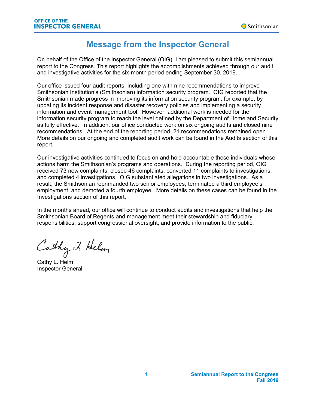# **Message from the Inspector General**

On behalf of the Office of the Inspector General (OIG), I am pleased to submit this semiannual report to the Congress. This report highlights the accomplishments achieved through our audit and investigative activities for the six-month period ending September 30, 2019.

Our office issued four audit reports, including one with nine recommendations to improve Smithsonian Institution's (Smithsonian) information security program. OIG reported that the Smithsonian made progress in improving its information security program, for example, by updating its incident response and disaster recovery policies and implementing a security information and event management tool. However, additional work is needed for the information security program to reach the level defined by the Department of Homeland Security as fully effective. In addition, our office conducted work on six ongoing audits and closed nine recommendations. At the end of the reporting period, 21 recommendations remained open. More details on our ongoing and completed audit work can be found in the Audits section of this report.

Our investigative activities continued to focus on and hold accountable those individuals whose actions harm the Smithsonian's programs and operations. During the reporting period, OIG received 73 new complaints, closed 46 complaints, converted 11 complaints to investigations, and completed 4 investigations. OIG substantiated allegations in two investigations. As a result, the Smithsonian reprimanded two senior employees, terminated a third employee's employment, and demoted a fourth employee. More details on these cases can be found in the Investigations section of this report.

In the months ahead, our office will continue to conduct audits and investigations that help the Smithsonian Board of Regents and management meet their stewardship and fiduciary responsibilities, support congressional oversight, and provide information to the public.

Cathy 2 Helm

Cathy L. Helm Inspector General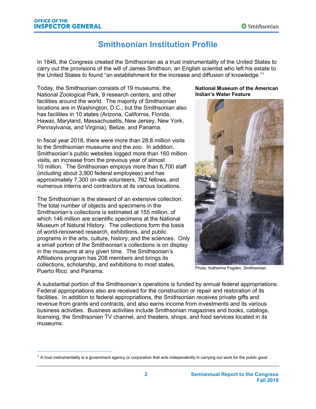# **Smithsonian Institution Profile**

In 1846, the Congress created the Smithsonian as a trust instrumentality of the United States to carry out the provisions of the will of James Smithson, an English scientist who left his estate to the United States to found "an establishment for the increase and diffusion of knowledge."<sup>1</sup>

Today, the Smithsonian consists of 19 museums, the National Zoological Park, 9 research centers, and other facilities around the world. The majority of Smithsonian locations are in Washington, D.C., but the Smithsonian also has facilities in 10 states (Arizona, California, Florida, Hawaii, Maryland, Massachusetts, New Jersey, New York, Pennsylvania, and Virginia), Belize, and Panama.

In fiscal year 2018, there were more than 28.8 million visits to the Smithsonian museums and the zoo. In addition, Smithsonian's public websites logged more than 160 million visits, an increase from the previous year of almost 10 million. The Smithsonian employs more than 6,700 staff (including about 3,900 federal employees) and has approximately 7,300 on-site volunteers, 762 fellows, and numerous interns and contractors at its various locations.

The Smithsonian is the steward of an extensive collection. The total number of objects and specimens in the Smithsonian's collections is estimated at 155 million, of which 146 million are scientific specimens at the National Museum of Natural History. The collections form the basis of world-renowned research, exhibitions, and public programs in the arts, culture, history, and the sciences. Only a small portion of the Smithsonian's collections is on display in the museums at any given time. The Smithsonian's Affiliations program has 208 members and brings its collections, scholarship, and exhibitions to most states, Puerto Rico, and Panama.

#### **National Museum of the American Indian's Water Feature**



Photo: Katherine Fogden, Smithsonian.

A substantial portion of the Smithsonian's operations is funded by annual federal appropriations. Federal appropriations also are received for the construction or repair and restoration of its facilities. In addition to federal appropriations, the Smithsonian receives private gifts and revenue from grants and contracts, and also earns income from investments and its various business activities. Business activities include Smithsonian magazines and books, catalogs, licensing, the Smithsonian TV channel, and theaters, shops, and food services located in its museums.

 $1$  A trust instrumentality is a government agency or corporation that acts independently in carrying out work for the public good.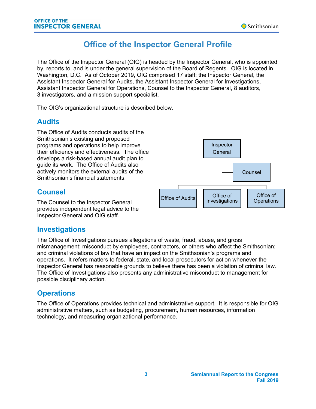# **Office of the Inspector General Profile**

The Office of the Inspector General (OIG) is headed by the Inspector General, who is appointed by, reports to, and is under the general supervision of the Board of Regents. OIG is located in Washington, D.C. As of October 2019, OIG comprised 17 staff: the Inspector General, the Assistant Inspector General for Audits, the Assistant Inspector General for Investigations, Assistant Inspector General for Operations, Counsel to the Inspector General, 8 auditors, 3 investigators, and a mission support specialist.

The OIG's organizational structure is described below.

# **Audits**

The Office of Audits conducts audits of the Smithsonian's existing and proposed programs and operations to help improve their efficiency and effectiveness. The office develops a risk-based annual audit plan to guide its work. The Office of Audits also actively monitors the external audits of the Smithsonian's financial statements.

# Inspector **General** Office of Audits State of Investigations Office of **Operations** Counsel

# **Counsel**

The Counsel to the Inspector General provides independent legal advice to the Inspector General and OIG staff.

## **Investigations**

The Office of Investigations pursues allegations of waste, fraud, abuse, and gross mismanagement; misconduct by employees, contractors, or others who affect the Smithsonian; and criminal violations of law that have an impact on the Smithsonian's programs and operations. It refers matters to federal, state, and local prosecutors for action whenever the Inspector General has reasonable grounds to believe there has been a violation of criminal law. The Office of Investigations also presents any administrative misconduct to management for possible disciplinary action.

## **Operations**

The Office of Operations provides technical and administrative support. It is responsible for OIG administrative matters, such as budgeting, procurement, human resources, information technology, and measuring organizational performance.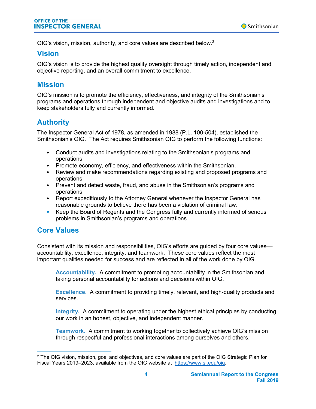OIG's vision, mission, authority, and core values are described below.<sup>2</sup>

### **Vision**

OIG's vision is to provide the highest quality oversight through timely action, independent and objective reporting, and an overall commitment to excellence.

## **Mission**

OIG's mission is to promote the efficiency, effectiveness, and integrity of the Smithsonian's programs and operations through independent and objective audits and investigations and to keep stakeholders fully and currently informed.

## **Authority**

The Inspector General Act of 1978, as amended in 1988 (P.L. 100-504), established the Smithsonian's OIG. The Act requires Smithsonian OIG to perform the following functions:

- Conduct audits and investigations relating to the Smithsonian's programs and operations.
- Promote economy, efficiency, and effectiveness within the Smithsonian.
- Review and make recommendations regarding existing and proposed programs and operations.
- Prevent and detect waste, fraud, and abuse in the Smithsonian's programs and operations.
- Report expeditiously to the Attorney General whenever the Inspector General has reasonable grounds to believe there has been a violation of criminal law.
- Keep the Board of Regents and the Congress fully and currently informed of serious problems in Smithsonian's programs and operations.

### **Core Values**

Consistent with its mission and responsibilities, OIG's efforts are guided by four core values accountability, excellence, integrity, and teamwork. These core values reflect the most important qualities needed for success and are reflected in all of the work done by OIG.

**Accountability.** A commitment to promoting accountability in the Smithsonian and taking personal accountability for actions and decisions within OIG.

**Excellence.** A commitment to providing timely, relevant, and high-quality products and services.

**Integrity.** A commitment to operating under the highest ethical principles by conducting our work in an honest, objective, and independent manner.

**Teamwork.** A commitment to working together to collectively achieve OIG's mission through respectful and professional interactions among ourselves and others.

 <sup>2</sup> The OIG vision, mission, goal and objectives, and core values are part of the OIG Strategic Plan for Fiscal Years 2019–2023, available from the OIG website at [https://www.si.edu/oig.](https://www.si.edu/oig)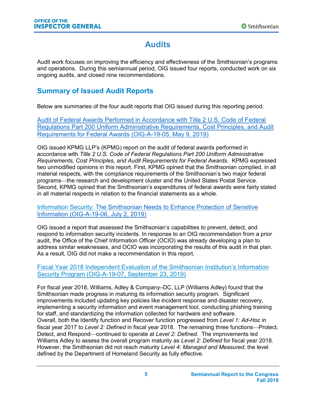# **Audits**

Audit work focuses on improving the efficiency and effectiveness of the Smithsonian's programs and operations. During this semiannual period, OIG issued four reports, conducted work on six ongoing audits, and closed nine recommendations.

# **Summary of Issued Audit Reports**

Below are summaries of the four audit reports that OIG issued during this reporting period.

[Audit of Federal Awards Performed in Accordance with Title 2 U.S. Code of Federal](https://www.si.edu/Content/OIG/Audits/2019/OIG-A-19-05.pdf)  [Regulations Part 200 Uniform Administrative Requirements, Cost Principles, and Audit](https://www.si.edu/Content/OIG/Audits/2019/OIG-A-19-05.pdf)  [Requirements for Federal Awards \(OIG-A-19-05, May 9, 2019\)](https://www.si.edu/Content/OIG/Audits/2019/OIG-A-19-05.pdf)

OIG issued KPMG LLP's (KPMG) report on the audit of federal awards performed in accordance with *Title 2 U.S. Code of Federal Regulations Part 200 Uniform Administrative Requirements, Cost Principles, and Audit Requirements for Federal Awards*. KPMG expressed two unmodified opinions in this report. First, KPMG opined that the Smithsonian complied, in all material respects, with the compliance requirements of the Smithsonian's two major federal programs⎯the research and development cluster and the United States Postal Service. Second, KPMG opined that the Smithsonian's expenditures of federal awards were fairly stated in all material respects in relation to the financial statements as a whole.

Information Security: The Smithsonian Needs [to Enhance Protection of Sensitive](https://www.si.edu/Content/OIG/Audits/2019/OIG-A-19-06.pdf)  [Information \(OIG-A-19-06, July 2, 2019\)](https://www.si.edu/Content/OIG/Audits/2019/OIG-A-19-06.pdf)

OIG issued a report that assessed the Smithsonian's capabilities to prevent, detect, and respond to information security incidents. In response to an OIG recommendation from a prior audit, the Office of the Chief Information Officer (OCIO) was already developing a plan to address similar weaknesses, and OCIO was incorporating the results of this audit in that plan. As a result, OIG did not make a recommendation in this report.

[Fiscal Year 2018 Independent Evaluation of the Smithsoni](https://www.si.edu/Content/OIG/Audits/2019/OIG-A-19-07.pdf)an Institution's Information [Security Program \(OIG-A-19-07, September 23, 2019\)](https://www.si.edu/Content/OIG/Audits/2019/OIG-A-19-07.pdf)

For fiscal year 2018, Williams, Adley & Company–DC, LLP (Williams Adley) found that the Smithsonian made progress in maturing its information security program. Significant improvements included updating key policies like incident response and disaster recovery, implementing a security information and event management tool, conducting phishing training for staff, and standardizing the information collected for hardware and software. Overall, both the Identify function and Recover function progressed from *Level 1: Ad-Hoc* in fiscal year 2017 to *Level 2: Defined* in fiscal year 2018. The remaining three functions—Protect, Detect, and Respond—continued to operate at *Level 2: Defined*. The improvements led Williams Adley to assess the overall program maturity as *Level 2: Defined* for fiscal year 2018. However, the Smithsonian did not reach maturity *Level 4: Managed and Measured*, the level defined by the Department of Homeland Security as fully effective.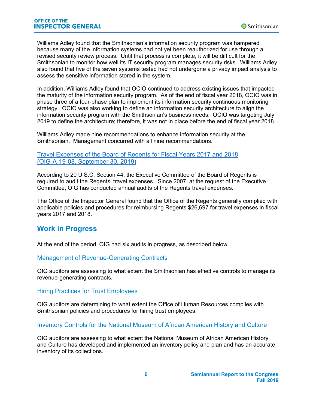Williams Adley found that the Smithsonian's information security program was hampered because many of the information systems had not yet been reauthorized for use through a revised security review process. Until that process is complete, it will be difficult for the Smithsonian to monitor how well its IT security program manages security risks. Williams Adley also found that five of the seven systems tested had not undergone a privacy impact analysis to assess the sensitive information stored in the system.

In addition, Williams Adley found that OCIO continued to address existing issues that impacted the maturity of the information security program. As of the end of fiscal year 2018, OCIO was in phase three of a four-phase plan to implement its information security continuous monitoring strategy. OCIO was also working to define an information security architecture to align the information security program with the Smithsonian's business needs. OCIO was targeting July 2019 to define the architecture; therefore, it was not in place before the end of fiscal year 2018.

Williams Adley made nine recommendations to enhance information security at the Smithsonian. Management concurred with all nine recommendations.

#### Travel Expenses of the Board of Regents for [Fiscal Years 2017 and 2018](https://www.si.edu/Content/OIG/Audits/2019/OIG-A-19-08.pdf)  [\(OIG-A-19-08, September 30, 2019\)](https://www.si.edu/Content/OIG/Audits/2019/OIG-A-19-08.pdf)

According to 20 U.S.C. Section 44, the Executive Committee of the Board of Regents is required to audit the Regents' travel expenses. Since 2007, at the request of the Executive Committee, OIG has conducted annual audits of the Regents travel expenses.

The Office of the Inspector General found that the Office of the Regents generally complied with applicable policies and procedures for reimbursing Regents \$26,697 for travel expenses in fiscal years 2017 and 2018.

### **Work in Progress**

At the end of the period, OIG had six audits in progress, as described below.

Management of Revenue-Generating Contracts

OIG auditors are assessing to what extent the Smithsonian has effective controls to manage its revenue-generating contracts.

#### Hiring Practices for Trust Employees

OIG auditors are determining to what extent the Office of Human Resources complies with Smithsonian policies and procedures for hiring trust employees.

Inventory Controls for the National Museum of African American History and Culture

OIG auditors are assessing to what extent the National Museum of African American History and Culture has developed and implemented an inventory policy and plan and has an accurate inventory of its collections.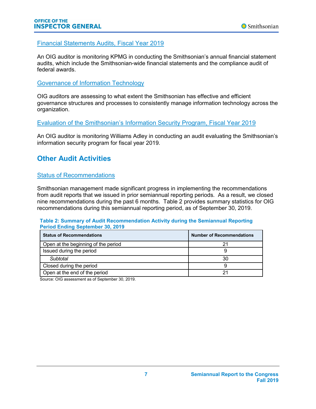#### Financial Statements Audits, Fiscal Year 2019

An OIG auditor is monitoring KPMG in conducting the Smithsonian's annual financial statement audits, which include the Smithsonian-wide financial statements and the compliance audit of federal awards.

#### Governance of Information Technology

OIG auditors are assessing to what extent the Smithsonian has effective and efficient governance structures and processes to consistently manage information technology across the organization.

Evaluation of the Smithsonian's Information Security Program, Fiscal Year 2019

An OIG auditor is monitoring Williams Adley in conducting an audit evaluating the Smithsonian's information security program for fiscal year 2019.

## **Other Audit Activities**

#### Status of Recommendations

Smithsonian management made significant progress in implementing the recommendations from audit reports that we issued in prior semiannual reporting periods. As a result, we closed nine recommendations during the past 6 months. Table 2 provides summary statistics for OIG recommendations during this semiannual reporting period, as of September 30, 2019.

**Table 2: Summary of Audit Recommendation Activity during the Semiannual Reporting Period Ending September 30, 2019**

| <b>Status of Recommendations</b>    | <b>Number of Recommendations</b> |
|-------------------------------------|----------------------------------|
| Open at the beginning of the period |                                  |
| Issued during the period            |                                  |
| Subtotal                            | 30                               |
| Closed during the period            |                                  |
| Open at the end of the period       |                                  |

Source: OIG assessment as of September 30, 2019.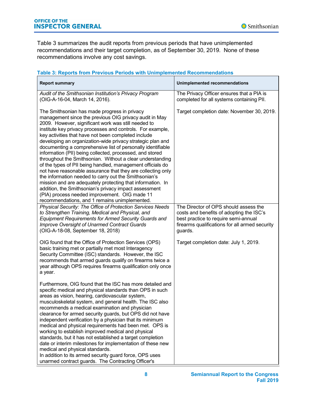Table 3 summarizes the audit reports from previous periods that have unimplemented recommendations and their target completion, as of September 30, 2019. None of these recommendations involve any cost savings.

#### **Table 3: Reports from Previous Periods with Unimplemented Recommendations**

| <b>Report summary</b>                                                                                                                                                                                                                                                                                                                                                                                                                                                                                                                                                                                                                                                                                                                                                                                                                                                                                                                                   | <b>Unimplemented recommendations</b>                                                                                                                                                   |
|---------------------------------------------------------------------------------------------------------------------------------------------------------------------------------------------------------------------------------------------------------------------------------------------------------------------------------------------------------------------------------------------------------------------------------------------------------------------------------------------------------------------------------------------------------------------------------------------------------------------------------------------------------------------------------------------------------------------------------------------------------------------------------------------------------------------------------------------------------------------------------------------------------------------------------------------------------|----------------------------------------------------------------------------------------------------------------------------------------------------------------------------------------|
| Audit of the Smithsonian Institution's Privacy Program<br>(OIG-A-16-04, March 14, 2016).                                                                                                                                                                                                                                                                                                                                                                                                                                                                                                                                                                                                                                                                                                                                                                                                                                                                | The Privacy Officer ensures that a PIA is<br>completed for all systems containing PII.                                                                                                 |
| The Smithsonian has made progress in privacy<br>management since the previous OIG privacy audit in May<br>2009. However, significant work was still needed to<br>institute key privacy processes and controls. For example,<br>key activities that have not been completed include<br>developing an organization-wide privacy strategic plan and<br>documenting a comprehensive list of personally identifiable<br>information (PII) being collected, processed, and stored<br>throughout the Smithsonian. Without a clear understanding<br>of the types of PII being handled, management officials do<br>not have reasonable assurance that they are collecting only<br>the information needed to carry out the Smithsonian's<br>mission and are adequately protecting that information. In<br>addition, the Smithsonian's privacy impact assessment<br>(PIA) process needed improvement. OIG made 11<br>recommendations, and 1 remains unimplemented. | Target completion date: November 30, 2019.                                                                                                                                             |
| Physical Security: The Office of Protection Services Needs<br>to Strengthen Training, Medical and Physical, and<br><b>Equipment Requirements for Armed Security Guards and</b><br>Improve Oversight of Unarmed Contract Guards<br>(OIG-A-18-08, September 18, 2018)                                                                                                                                                                                                                                                                                                                                                                                                                                                                                                                                                                                                                                                                                     | The Director of OPS should assess the<br>costs and benefits of adopting the ISC's<br>best practice to require semi-annual<br>firearms qualifications for all armed security<br>guards. |
| OIG found that the Office of Protection Services (OPS)<br>basic training met or partially met most Interagency<br>Security Committee (ISC) standards. However, the ISC<br>recommends that armed guards qualify on firearms twice a<br>year although OPS requires firearms qualification only once<br>a year.                                                                                                                                                                                                                                                                                                                                                                                                                                                                                                                                                                                                                                            | Target completion date: July 1, 2019.                                                                                                                                                  |
| Furthermore, OIG found that the ISC has more detailed and<br>specific medical and physical standards than OPS in such<br>areas as vision, hearing, cardiovascular system,<br>musculoskeletal system, and general health. The ISC also<br>recommends a medical examination and physician<br>clearance for armed security guards, but OPS did not have<br>independent verification by a physician that its minimum<br>medical and physical requirements had been met. OPS is<br>working to establish improved medical and physical<br>standards, but it has not established a target completion<br>date or interim milestones for implementation of these new<br>medical and physical standards.<br>In addition to its armed security guard force, OPS uses<br>unarmed contract guards. The Contracting Officer's                                                                                                                                         |                                                                                                                                                                                        |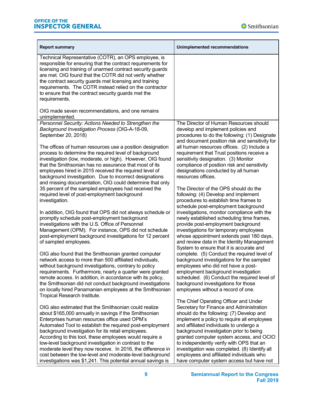

| <b>Report summary</b>                                                                                                                                                                                                                                                                                                                                                                                                                                                                                                                                                                             | Unimplemented recommendations                                                                                                                                                                                                                                                                                                                                                                                                                                                                       |
|---------------------------------------------------------------------------------------------------------------------------------------------------------------------------------------------------------------------------------------------------------------------------------------------------------------------------------------------------------------------------------------------------------------------------------------------------------------------------------------------------------------------------------------------------------------------------------------------------|-----------------------------------------------------------------------------------------------------------------------------------------------------------------------------------------------------------------------------------------------------------------------------------------------------------------------------------------------------------------------------------------------------------------------------------------------------------------------------------------------------|
| Technical Representative (COTR), an OPS employee, is<br>responsible for ensuring that the contract requirements for<br>licensing and training of unarmed contract security guards<br>are met. OIG found that the COTR did not verify whether<br>the contract security guards met licensing and training<br>requirements. The COTR instead relied on the contractor<br>to ensure that the contract security guards met the<br>requirements.                                                                                                                                                        |                                                                                                                                                                                                                                                                                                                                                                                                                                                                                                     |
| OIG made seven recommendations, and one remains<br>unimplemented.                                                                                                                                                                                                                                                                                                                                                                                                                                                                                                                                 |                                                                                                                                                                                                                                                                                                                                                                                                                                                                                                     |
| Personnel Security: Actions Needed to Strengthen the<br>Background Investigation Process (OIG-A-18-09,<br>September 20, 2018)                                                                                                                                                                                                                                                                                                                                                                                                                                                                     | The Director of Human Resources should<br>develop and implement policies and<br>procedures to do the following: (1) Designate<br>and document position risk and sensitivity for                                                                                                                                                                                                                                                                                                                     |
| The offices of human resources use a position designation<br>process to determine the required level of background<br>investigation (low, moderate, or high). However, OIG found<br>that the Smithsonian has no assurance that most of its<br>employees hired in 2015 received the required level of<br>background investigation. Due to incorrect designations<br>and missing documentation, OIG could determine that only                                                                                                                                                                       | all human resources offices. (2) Include a<br>requirement that Trust positions receive a<br>sensitivity designation. (3) Monitor<br>compliance of position risk and sensitivity<br>designations conducted by all human<br>resources offices.                                                                                                                                                                                                                                                        |
| 35 percent of the sampled employees had received the<br>required level of post-employment background<br>investigation.                                                                                                                                                                                                                                                                                                                                                                                                                                                                            | The Director of the OPS should do the<br>following: (4) Develop and implement<br>procedures to establish time frames to<br>schedule post-employment background                                                                                                                                                                                                                                                                                                                                      |
| In addition, OIG found that OPS did not always schedule or<br>promptly schedule post-employment background<br>investigations with the U.S. Office of Personnel<br>Management (OPM). For instance, OPS did not schedule<br>post-employment background investigations for 12 percent<br>of sampled employees.                                                                                                                                                                                                                                                                                       | investigations, monitor compliance with the<br>newly established scheduling time frames,<br>provide post-employment background<br>investigations for temporary employees<br>whose appointment extends past 180 days,<br>and review data in the Identity Management<br>System to ensure that it is accurate and                                                                                                                                                                                      |
| OIG also found that the Smithsonian granted computer<br>network access to more than 500 affiliated individuals,<br>without background investigations, contrary to policy<br>requirements. Furthermore, nearly a quarter were granted<br>remote access. In addition, in accordance with its policy,<br>the Smithsonian did not conduct background investigations<br>on locally hired Panamanian employees at the Smithsonian<br>Tropical Research Institute.                                                                                                                                       | complete. (5) Conduct the required level of<br>background investigations for the sampled<br>employees who did not have a post-<br>employment background investigation<br>scheduled. (6) Conduct the required level of<br>background investigations for those<br>employees without a record of one.                                                                                                                                                                                                  |
| OIG also estimated that the Smithsonian could realize<br>about \$165,000 annually in savings if the Smithsonian<br>Enterprises human resources office used OPM's<br>Automated Tool to establish the required post-employment<br>background investigation for its retail employees.<br>According to this tool, these employees would require a<br>low-level background investigation in contrast to the<br>moderate level they now receive. In 2016, the difference in<br>cost between the low-level and moderate-level background<br>investigations was \$1,241. This potential annual savings is | The Chief Operating Officer and Under<br>Secretary for Finance and Administration<br>should do the following: (7) Develop and<br>implement a policy to require all employees<br>and affiliated individuals to undergo a<br>background investigation prior to being<br>granted computer system access, and OCIO<br>to independently verify with OPS that an<br>investigation was completed. (8) Identify all<br>employees and affiliated individuals who<br>have computer system access but have not |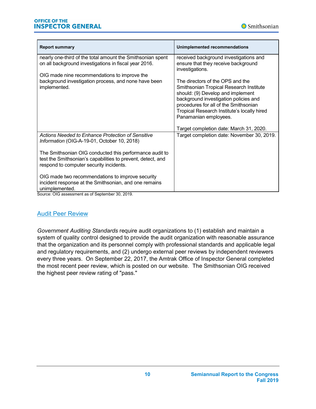

| <b>Report summary</b>                                                                                                                                             | <b>Unimplemented recommendations</b>                                                                                                                                                                                                                                       |
|-------------------------------------------------------------------------------------------------------------------------------------------------------------------|----------------------------------------------------------------------------------------------------------------------------------------------------------------------------------------------------------------------------------------------------------------------------|
| nearly one-third of the total amount the Smithsonian spent<br>on all background investigations in fiscal year 2016.                                               | received background investigations and<br>ensure that they receive background<br>investigations.                                                                                                                                                                           |
| OIG made nine recommendations to improve the<br>background investigation process, and none have been<br>implemented.                                              | The directors of the OPS and the<br>Smithsonian Tropical Research Institute<br>should: (9) Develop and implement<br>background investigation policies and<br>procedures for all of the Smithsonian<br>Tropical Research Institute's locally hired<br>Panamanian employees. |
| Actions Needed to Enhance Protection of Sensitive                                                                                                                 | Target completion date: March 31, 2020.<br>Target completion date: November 30, 2019.                                                                                                                                                                                      |
| Information (OIG-A-19-01, October 10, 2018)                                                                                                                       |                                                                                                                                                                                                                                                                            |
| The Smithsonian OIG conducted this performance audit to<br>test the Smithsonian's capabilities to prevent, detect, and<br>respond to computer security incidents. |                                                                                                                                                                                                                                                                            |
| OIG made two recommendations to improve security<br>incident response at the Smithsonian, and one remains<br>unimplemented.                                       |                                                                                                                                                                                                                                                                            |

Source: OIG assessment as of September 30, 2019.

#### Audit Peer Review

*Government Auditing Standards* require audit organizations to (1) establish and maintain a system of quality control designed to provide the audit organization with reasonable assurance that the organization and its personnel comply with professional standards and applicable legal and regulatory requirements, and (2) undergo external peer reviews by independent reviewers every three years. On September 22, 2017, the Amtrak Office of Inspector General completed the most recent peer review, which is posted on our website. The Smithsonian OIG received the highest peer review rating of "pass."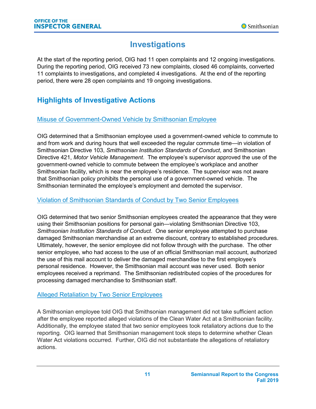# **Investigations**

At the start of the reporting period, OIG had 11 open complaints and 12 ongoing investigations. During the reporting period, OIG received 73 new complaints, closed 46 complaints, converted 11 complaints to investigations, and completed 4 investigations. At the end of the reporting period, there were 28 open complaints and 19 ongoing investigations.

# **Highlights of Investigative Actions**

#### Misuse of Government-Owned Vehicle by Smithsonian Employee

OIG determined that a Smithsonian employee used a government-owned vehicle to commute to and from work and during hours that well exceeded the regular commute time—in violation of Smithsonian Directive 103, *Smithsonian Institution Standards of Conduct*, and Smithsonian Directive 421, *Motor Vehicle Management*. The employee's supervisor approved the use of the government-owned vehicle to commute between the employee's workplace and another Smithsonian facility, which is near the employee's residence. The supervisor was not aware that Smithsonian policy prohibits the personal use of a government-owned vehicle. The Smithsonian terminated the employee's employment and demoted the supervisor.

#### Violation of Smithsonian Standards of Conduct by Two Senior Employees

OIG determined that two senior Smithsonian employees created the appearance that they were using their Smithsonian positions for personal gain—violating Smithsonian Directive 103, *Smithsonian Institution Standards of Conduct*. One senior employee attempted to purchase damaged Smithsonian merchandise at an extreme discount, contrary to established procedures. Ultimately, however, the senior employee did not follow through with the purchase. The other senior employee, who had access to the use of an official Smithsonian mail account, authorized the use of this mail account to deliver the damaged merchandise to the first employee's personal residence. However, the Smithsonian mail account was never used. Both senior employees received a reprimand. The Smithsonian redistributed copies of the procedures for processing damaged merchandise to Smithsonian staff.

#### Alleged Retaliation by Two Senior Employees

A Smithsonian employee told OIG that Smithsonian management did not take sufficient action after the employee reported alleged violations of the Clean Water Act at a Smithsonian facility. Additionally, the employee stated that two senior employees took retaliatory actions due to the reporting. OIG learned that Smithsonian management took steps to determine whether Clean Water Act violations occurred. Further, OIG did not substantiate the allegations of retaliatory actions.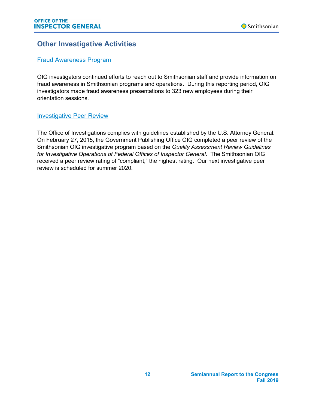## **Other Investigative Activities**

#### Fraud Awareness Program

OIG investigators continued efforts to reach out to Smithsonian staff and provide information on fraud awareness in Smithsonian programs and operations. During this reporting period, OIG investigators made fraud awareness presentations to 323 new employees during their orientation sessions.

#### Investigative Peer Review

The Office of Investigations complies with guidelines established by the U.S. Attorney General. On February 27, 2015, the Government Publishing Office OIG completed a peer review of the Smithsonian OIG investigative program based on the *Quality Assessment Review Guidelines for Investigative Operations of Federal Offices of Inspector General*. The Smithsonian OIG received a peer review rating of "compliant," the highest rating. Our next investigative peer review is scheduled for summer 2020.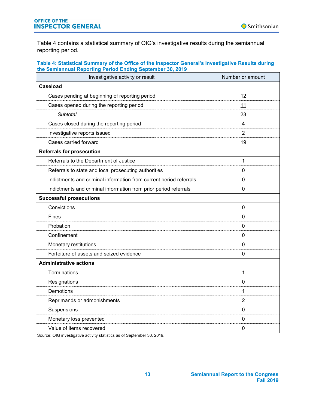Table 4 contains a statistical summary of OIG's investigative results during the semiannual reporting period.

#### **Table 4: Statistical Summary of the Office of the Inspector General's Investigative Results during the Semiannual Reporting Period Ending September 30, 2019**

| Investigative activity or result                                   | Number or amount |
|--------------------------------------------------------------------|------------------|
| <b>Caseload</b>                                                    |                  |
| Cases pending at beginning of reporting period                     | 12               |
| Cases opened during the reporting period                           | 11               |
| <b>Subtotal</b>                                                    | 23               |
| Cases closed during the reporting period                           | 4                |
| Investigative reports issued                                       | 2                |
| Cases carried forward                                              | 19               |
| <b>Referrals for prosecution</b>                                   |                  |
| Referrals to the Department of Justice                             | $\mathbf{1}$     |
| Referrals to state and local prosecuting authorities               | 0                |
| Indictments and criminal information from current period referrals | $\mathbf{0}$     |
| Indictments and criminal information from prior period referrals   | $\mathbf{0}$     |
| <b>Successful prosecutions</b>                                     |                  |
| Convictions                                                        | 0                |
| <b>Fines</b>                                                       | 0                |
| Probation                                                          | $\mathbf{0}$     |
| Confinement                                                        | $\mathbf{0}$     |
| Monetary restitutions                                              | 0                |
| Forfeiture of assets and seized evidence                           | $\mathbf 0$      |
| <b>Administrative actions</b>                                      |                  |
| Terminations                                                       | 1                |
| Resignations                                                       | $\mathbf{0}$     |
| Demotions                                                          | 1                |
| Reprimands or admonishments                                        | 2                |
| Suspensions                                                        | $\mathbf{0}$     |
| Monetary loss prevented                                            | $\mathbf{0}$     |
| Value of items recovered                                           | $\mathbf 0$      |

Source: OIG investigative activity statistics as of September 30, 2019.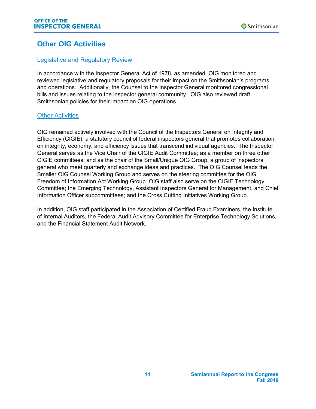## **Other OIG Activities**

#### Legislative and Regulatory Review

In accordance with the Inspector General Act of 1978, as amended, OIG monitored and reviewed legislative and regulatory proposals for their impact on the Smithsonian's programs and operations. Additionally, the Counsel to the Inspector General monitored congressional bills and issues relating to the inspector general community. OIG also reviewed draft Smithsonian policies for their impact on OIG operations.

#### Other Activities

OIG remained actively involved with the Council of the Inspectors General on Integrity and Efficiency (CIGIE), a statutory council of federal inspectors general that promotes collaboration on integrity, economy, and efficiency issues that transcend individual agencies. The Inspector General serves as the Vice Chair of the CIGIE Audit Committee; as a member on three other CIGIE committees; and as the chair of the Small/Unique OIG Group, a group of inspectors general who meet quarterly and exchange ideas and practices. The OIG Counsel leads the Smaller OIG Counsel Working Group and serves on the steering committee for the OIG Freedom of Information Act Working Group. OIG staff also serve on the CIGIE Technology Committee; the Emerging Technology, Assistant Inspectors General for Management, and Chief Information Officer subcommittees; and the Cross Cutting Initiatives Working Group.

In addition, OIG staff participated in the Association of Certified Fraud Examiners, the Institute of Internal Auditors, the Federal Audit Advisory Committee for Enterprise Technology Solutions, and the Financial Statement Audit Network.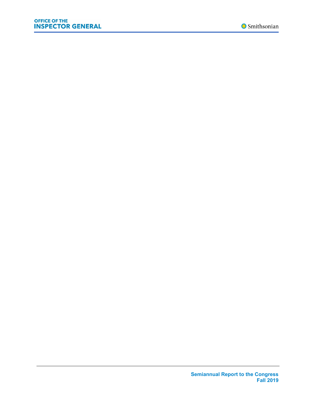